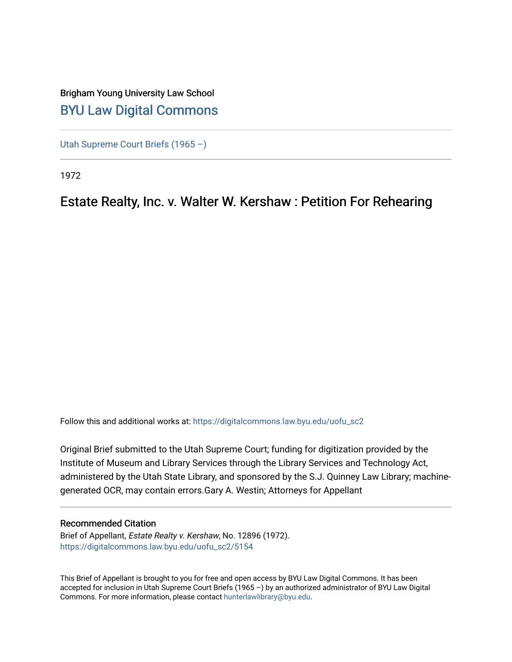## Brigham Young University Law School [BYU Law Digital Commons](https://digitalcommons.law.byu.edu/)

[Utah Supreme Court Briefs \(1965 –\)](https://digitalcommons.law.byu.edu/uofu_sc2)

1972

## Estate Realty, Inc. v. Walter W. Kershaw : Petition For Rehearing

Follow this and additional works at: [https://digitalcommons.law.byu.edu/uofu\\_sc2](https://digitalcommons.law.byu.edu/uofu_sc2?utm_source=digitalcommons.law.byu.edu%2Fuofu_sc2%2F5154&utm_medium=PDF&utm_campaign=PDFCoverPages)

Original Brief submitted to the Utah Supreme Court; funding for digitization provided by the Institute of Museum and Library Services through the Library Services and Technology Act, administered by the Utah State Library, and sponsored by the S.J. Quinney Law Library; machinegenerated OCR, may contain errors.Gary A. Westin; Attorneys for Appellant

#### Recommended Citation

Brief of Appellant, Estate Realty v. Kershaw, No. 12896 (1972). [https://digitalcommons.law.byu.edu/uofu\\_sc2/5154](https://digitalcommons.law.byu.edu/uofu_sc2/5154?utm_source=digitalcommons.law.byu.edu%2Fuofu_sc2%2F5154&utm_medium=PDF&utm_campaign=PDFCoverPages) 

This Brief of Appellant is brought to you for free and open access by BYU Law Digital Commons. It has been accepted for inclusion in Utah Supreme Court Briefs (1965 –) by an authorized administrator of BYU Law Digital Commons. For more information, please contact [hunterlawlibrary@byu.edu](mailto:hunterlawlibrary@byu.edu).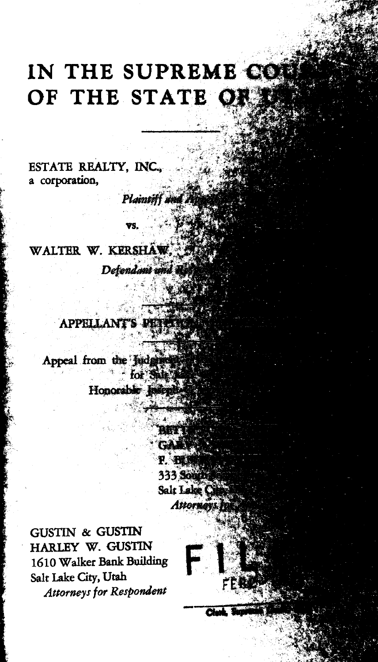# IN THE SUPREME CO OF THE STATE OR

Plaintiff a

ESTATE REALTY, INC. a corporation,

WALTER W. KERSHAW. Defendant und

**APPELLANT'S PE** 

Appeal from the Judges

Honorable lasen

**F. BE 333 South** Salt Lake Attorney

**BRTT** GÂ

**GUSTIN & GUSTIN** HARLEY W. GUSTIN 1610 Walker Bank Building Salt Lake City, Utah Attorneys for Respondent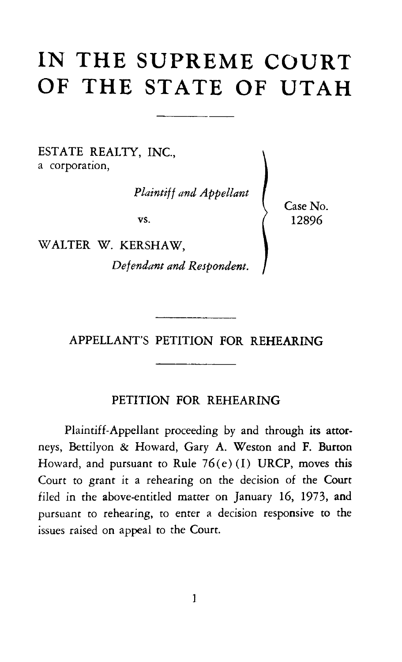# **IN THE SUPREME COURT OF THE STATE OF UTAH**

ESTATE REALTY, INC., a corporation,

*Plaintiff and Appellant* 

vs.

WALTER W. KERSHAW,

*Defendant and Respondent.* 

Case No. 12896

### APPELLANT'S PETITION FOR REHEARING

#### PETITION FOR REHEARING

Plaintiff-Appellant proceeding by and through its attorneys, Bettilyon & Howard, Gary A. Weston and F. Burton Howard, and pursuant to Rule  $76(e)$  (I) URCP, moves this Court to grant it a rehearing on the decision of the Court filed in the above-entitled matter on January 16, 1973, and pursuant to rehearing, to enter a decision responsive to the issues raised on appeal to the Court.

 $\mathbf{1}$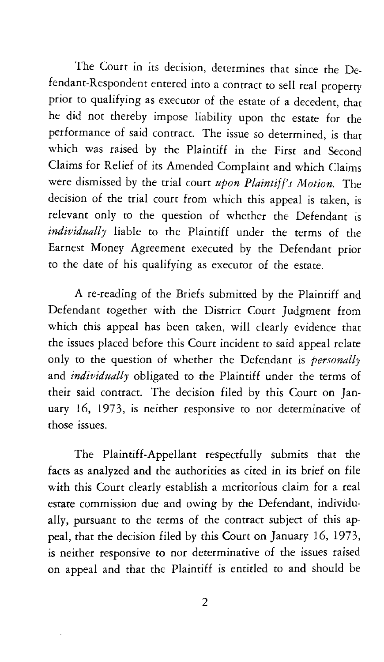The Court in its decision, determines that since the Defendant-Respondent entered into a contract to sell real property prior to qualifying as executor of the estate of a decedent, that he did not thereby impose liability upon the estate for the performance of said contract. The issue so determined, is that which was raised by the Plaintiff in the First and Second Claims for Relief of its Amended Complaint and which Claims were dismissed by the trial court *upon Plaintiff's Motion.* The decision of the trial court from which this appeal is taken, is relevant only to the question of whether the Defendant is *individually* liable to the Plaintiff under the terms of the Earnest Money Agreement executed by the Defendant prior to the date of his qualifying as executor of the estate.

A re-reading of the Briefs submitted by the Plaintiff and Defendant together with the District Court Judgment from which this appeal has been taken, will clearly evidence that the issues placed before this Court incident to said appeal relate only to the question of whether the Defendant is *personally*  and *individually* obligated to the Plaintiff under the terms of their said contract. The decision filed by this Court on January 16, 1973, is neither responsive to nor determinative of those issues.

The Plaintiff-Appellant respectfully submits that the facts as analyzed and the authorities as cited in its brief on file with this Court clearly establish a meritorious claim for a real estate commission due and owing by the Defendant, individually, pursuant to the terms of the contract subject of this appeal, that the decision filed by this Court on January 16, 1973, is neither responsive to nor determinative of the issues raised on appeal and that the Plaintiff is entitled to and should be